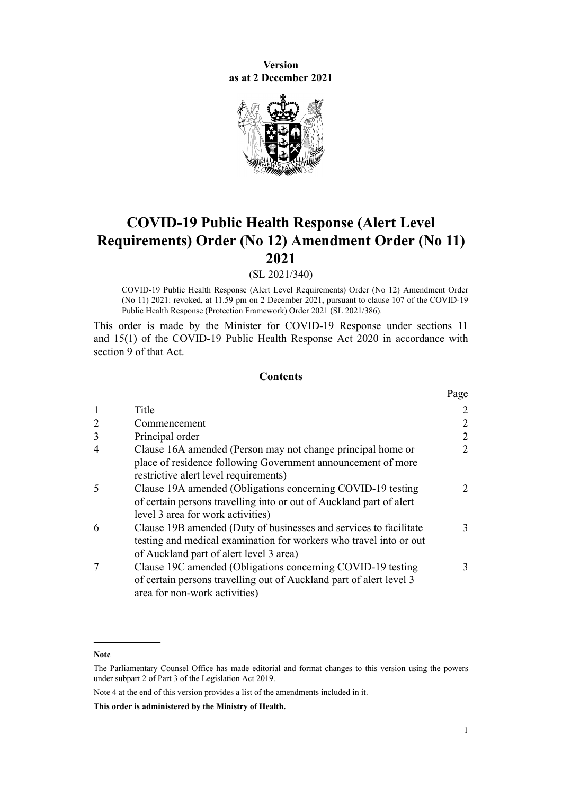**Version as at 2 December 2021**



# **COVID-19 Public Health Response (Alert Level Requirements) Order (No 12) Amendment Order (No 11) 2021**

(SL 2021/340)

COVID-19 Public Health Response (Alert Level Requirements) Order (No 12) Amendment Order (No 11) 2021: revoked, at 11.59 pm on 2 December 2021, pursuant to [clause 107](http://legislation.govt.nz/pdflink.aspx?id=LMS574550) of the COVID-19 Public Health Response (Protection Framework) Order 2021 (SL 2021/386).

This order is made by the Minister for COVID-19 Response under [sections 11](http://legislation.govt.nz/pdflink.aspx?id=LMS344177) and [15\(1\)](http://legislation.govt.nz/pdflink.aspx?id=LMS344183) of the [COVID-19 Public Health Response Act 2020](http://legislation.govt.nz/pdflink.aspx?id=LMS344121) in accordance with [section 9](http://legislation.govt.nz/pdflink.aspx?id=LMS344175) of that Act.

#### **Contents**

|   |                                                                                                                                                                                    | Page          |
|---|------------------------------------------------------------------------------------------------------------------------------------------------------------------------------------|---------------|
|   | Title                                                                                                                                                                              | 2             |
| 2 | Commencement                                                                                                                                                                       | 2             |
| 3 | Principal order                                                                                                                                                                    | 2             |
|   | Clause 16A amended (Person may not change principal home or                                                                                                                        | 2             |
|   | place of residence following Government announcement of more<br>restrictive alert level requirements)                                                                              |               |
|   | Clause 19A amended (Obligations concerning COVID-19 testing<br>of certain persons travelling into or out of Auckland part of alert<br>level 3 area for work activities)            | $\mathcal{L}$ |
| 6 | Clause 19B amended (Duty of businesses and services to facilitate<br>testing and medical examination for workers who travel into or out<br>of Auckland part of alert level 3 area) | 3             |
|   | Clause 19C amended (Obligations concerning COVID-19 testing<br>of certain persons travelling out of Auckland part of alert level 3<br>area for non-work activities)                | 3             |

**Note**

The Parliamentary Counsel Office has made editorial and format changes to this version using the powers under [subpart 2](http://legislation.govt.nz/pdflink.aspx?id=DLM7298371) of Part 3 of the Legislation Act 2019.

Note 4 at the end of this version provides a list of the amendments included in it.

**This order is administered by the Ministry of Health.**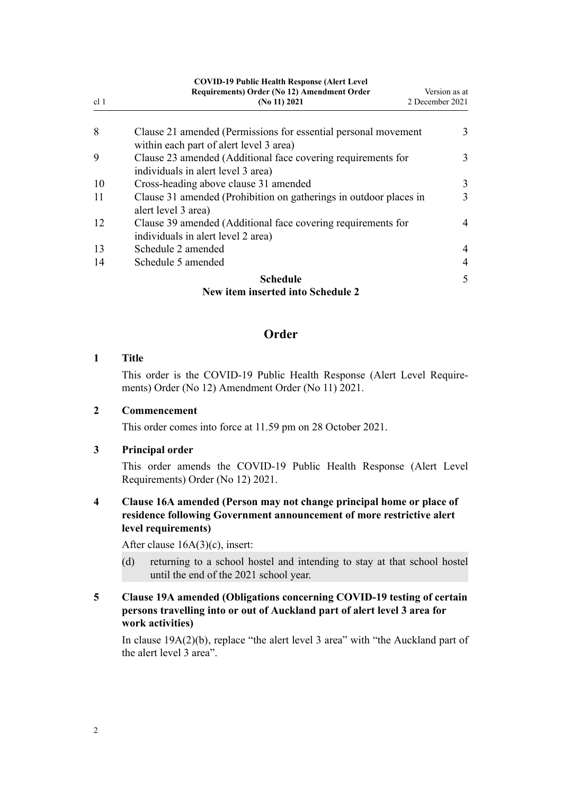<span id="page-1-0"></span>

| <b>COVID-19 Public Health Response (Alert Level)</b> |                                                                                                           |                 |  |  |  |
|------------------------------------------------------|-----------------------------------------------------------------------------------------------------------|-----------------|--|--|--|
|                                                      | Requirements) Order (No 12) Amendment Order                                                               | Version as at   |  |  |  |
| cl <sub>1</sub>                                      | (No 11) $2021$                                                                                            | 2 December 2021 |  |  |  |
| 8                                                    | Clause 21 amended (Permissions for essential personal movement<br>within each part of alert level 3 area) | 3               |  |  |  |
| 9                                                    | Clause 23 amended (Additional face covering requirements for<br>individuals in alert level 3 area)        | 3               |  |  |  |
| 10                                                   | Cross-heading above clause 31 amended                                                                     | 3               |  |  |  |
| 11                                                   | Clause 31 amended (Prohibition on gatherings in outdoor places in<br>alert level 3 area)                  | 3               |  |  |  |
| 12                                                   | Clause 39 amended (Additional face covering requirements for<br>individuals in alert level 2 area)        | 4               |  |  |  |
| 13                                                   | Schedule 2 amended                                                                                        | 4               |  |  |  |
| 14                                                   | Schedule 5 amended                                                                                        | 4               |  |  |  |
|                                                      | <b>Schedule</b>                                                                                           | 5               |  |  |  |
|                                                      | New item inserted into Schedule 2                                                                         |                 |  |  |  |

## **Order**

#### **1 Title**

This order is the COVID-19 Public Health Response (Alert Level Require‐ ments) Order (No 12) Amendment Order (No 11) 2021.

#### **2 Commencement**

This order comes into force at 11.59 pm on 28 October 2021.

### **3 Principal order**

This order amends the [COVID-19 Public Health Response \(Alert Level](http://legislation.govt.nz/pdflink.aspx?id=LMS549702) [Requirements\) Order \(No 12\) 2021](http://legislation.govt.nz/pdflink.aspx?id=LMS549702).

## **4 Clause 16A amended (Person may not change principal home or place of residence following Government announcement of more restrictive alert level requirements)**

After [clause 16A\(3\)\(c\),](http://legislation.govt.nz/pdflink.aspx?id=LMS572931) insert:

(d) returning to a school hostel and intending to stay at that school hostel until the end of the 2021 school year.

## **5 Clause 19A amended (Obligations concerning COVID-19 testing of certain persons travelling into or out of Auckland part of alert level 3 area for work activities)**

In [clause 19A\(2\)\(b\),](http://legislation.govt.nz/pdflink.aspx?id=LMS549849) replace "the alert level 3 area" with "the Auckland part of the alert level 3 area".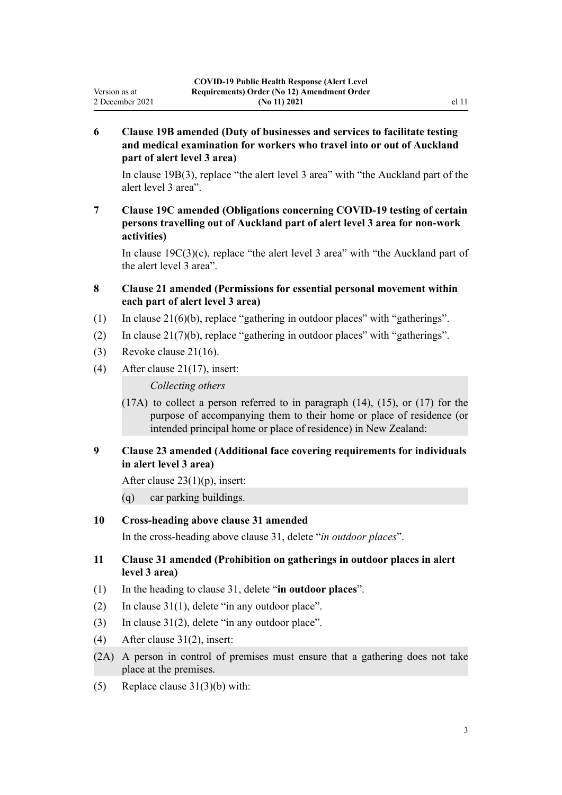## **6 Clause 19B amended (Duty of businesses and services to facilitate testing and medical examination for workers who travel into or out of Auckland part of alert level 3 area)**

In [clause 19B\(3\)](http://legislation.govt.nz/pdflink.aspx?id=LMS549851), replace "the alert level 3 area" with "the Auckland part of the alert level 3 area".

## **7 Clause 19C amended (Obligations concerning COVID-19 testing of certain persons travelling out of Auckland part of alert level 3 area for non-work activities)**

In [clause 19C\(3\)\(c\),](http://legislation.govt.nz/pdflink.aspx?id=LMS557547) replace "the alert level 3 area" with "the Auckland part of the alert level 3 area".

### **8 Clause 21 amended (Permissions for essential personal movement within each part of alert level 3 area)**

- (1) In [clause 21\(6\)\(b\),](http://legislation.govt.nz/pdflink.aspx?id=LMS549858) replace "gathering in outdoor places" with "gatherings".
- (2) In [clause 21\(7\)\(b\),](http://legislation.govt.nz/pdflink.aspx?id=LMS549858) replace "gathering in outdoor places" with "gatherings".
- (3) Revoke [clause 21\(16\)](http://legislation.govt.nz/pdflink.aspx?id=LMS549858).

<span id="page-2-0"></span>Version as at 2 December 2021

(4) After [clause 21\(17\),](http://legislation.govt.nz/pdflink.aspx?id=LMS549858) insert:

*Collecting others*

(17A) to collect a person referred to in paragraph (14), (15), or (17) for the purpose of accompanying them to their home or place of residence (or intended principal home or place of residence) in New Zealand:

## **9 Clause 23 amended (Additional face covering requirements for individuals in alert level 3 area)**

After [clause 23\(1\)\(p\)](http://legislation.govt.nz/pdflink.aspx?id=LMS549863), insert:

(q) car parking buildings.

## **10 Cross-heading above clause 31 amended**

In the cross-heading above [clause 31,](http://legislation.govt.nz/pdflink.aspx?id=LMS549884) delete "*in outdoor places*".

## **11 Clause 31 amended (Prohibition on gatherings in outdoor places in alert level 3 area)**

- (1) In the heading to [clause 31,](http://legislation.govt.nz/pdflink.aspx?id=LMS549884) delete "**in outdoor places**".
- (2) In [clause 31\(1\)](http://legislation.govt.nz/pdflink.aspx?id=LMS549884), delete "in any outdoor place".
- (3) In [clause 31\(2\)](http://legislation.govt.nz/pdflink.aspx?id=LMS549884), delete "in any outdoor place".
- (4) After [clause 31\(2\),](http://legislation.govt.nz/pdflink.aspx?id=LMS549884) insert:
- (2A) A person in control of premises must ensure that a gathering does not take place at the premises.
- (5) Replace [clause 31\(3\)\(b\)](http://legislation.govt.nz/pdflink.aspx?id=LMS549884) with: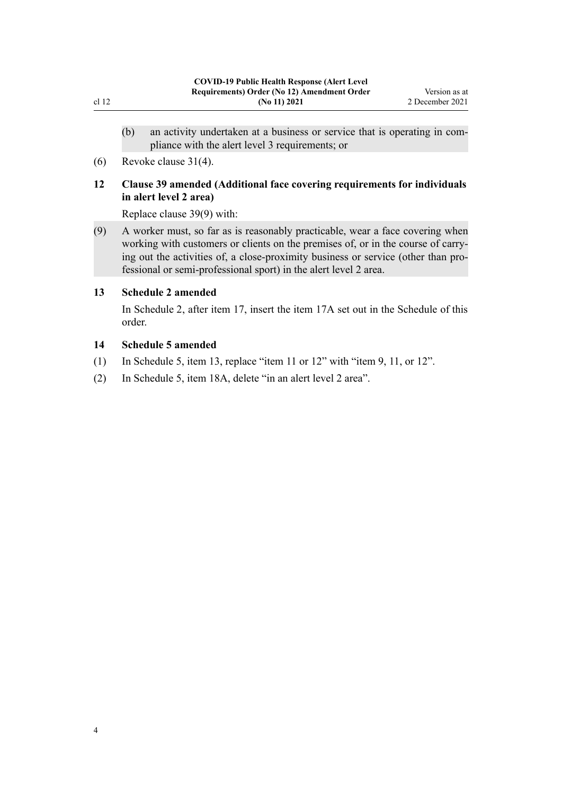- <span id="page-3-0"></span>(b) an activity undertaken at a business or service that is operating in com‐ pliance with the alert level 3 requirements; or
- (6) Revoke [clause 31\(4\).](http://legislation.govt.nz/pdflink.aspx?id=LMS549884)

## **12 Clause 39 amended (Additional face covering requirements for individuals in alert level 2 area)**

Replace [clause 39\(9\)](http://legislation.govt.nz/pdflink.aspx?id=LMS549901) with:

(9) A worker must, so far as is reasonably practicable, wear a face covering when working with customers or clients on the premises of, or in the course of carrying out the activities of, a close-proximity business or service (other than pro‐ fessional or semi-professional sport) in the alert level 2 area.

## **13 Schedule 2 amended**

In [Schedule 2](http://legislation.govt.nz/pdflink.aspx?id=LMS549935), after item 17, insert the item 17A set out in the [Schedule](#page-4-0) of this order.

#### **14 Schedule 5 amended**

- (1) In [Schedule 5](http://legislation.govt.nz/pdflink.aspx?id=LMS549944), item 13, replace "item 11 or 12" with "item 9, 11, or 12".
- (2) In [Schedule 5](http://legislation.govt.nz/pdflink.aspx?id=LMS549944), item 18A, delete "in an alert level 2 area".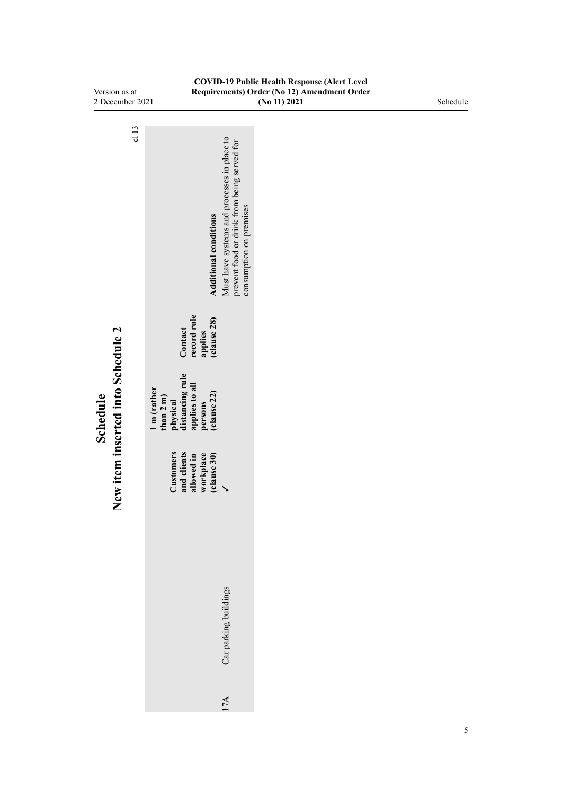<span id="page-4-0"></span>

| <b>COVID-19 Public Health Response (Alert Level</b><br>Version as at |                                                                                                                                                       |                                                             |          |  |  |
|----------------------------------------------------------------------|-------------------------------------------------------------------------------------------------------------------------------------------------------|-------------------------------------------------------------|----------|--|--|
| 2 December 2021                                                      |                                                                                                                                                       | Requirements) Order (No 12) Amendment Order<br>(No 11) 2021 | Schedule |  |  |
|                                                                      |                                                                                                                                                       |                                                             |          |  |  |
| c113                                                                 | Must have systems and processes in place to<br>prevent food or drink from being served for<br>consumption on premises<br><b>Additional conditions</b> |                                                             |          |  |  |
|                                                                      | record rule<br>(clause 28)<br>Contact<br>applies                                                                                                      |                                                             |          |  |  |
| New item inserted into Schedule 2<br>Schedule                        | distancing rule<br>applies to all<br>1 m (rather<br>(clause 22)<br>than $2 \text{ m}$ )<br>physical<br>persons                                        |                                                             |          |  |  |
|                                                                      | Customers<br>and clients<br>workplace<br>(clause 30)<br>allowed in<br>$\checkmark$                                                                    |                                                             |          |  |  |
|                                                                      | Car parking buildings                                                                                                                                 |                                                             |          |  |  |
|                                                                      | 17A                                                                                                                                                   |                                                             |          |  |  |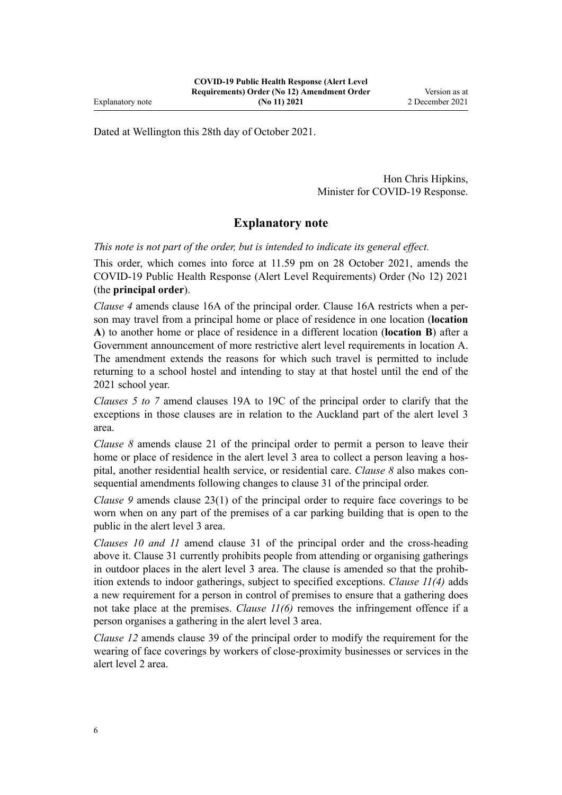Dated at Wellington this 28th day of October 2021.

Hon Chris Hipkins, Minister for COVID-19 Response.

# **Explanatory note**

*This note is not part of the order, but is intended to indicate its general effect.*

This order, which comes into force at 11.59 pm on 28 October 2021, amends the [COVID-19 Public Health Response \(Alert Level Requirements\) Order \(No 12\) 2021](http://legislation.govt.nz/pdflink.aspx?id=LMS549702) (the **principal order**).

*[Clause 4](#page-1-0)* amends [clause 16A](http://legislation.govt.nz/pdflink.aspx?id=LMS572931) of the principal order. Clause 16A restricts when a per‐ son may travel from a principal home or place of residence in one location (**location A**) to another home or place of residence in a different location (**location B**) after a Government announcement of more restrictive alert level requirements in location A. The amendment extends the reasons for which such travel is permitted to include returning to a school hostel and intending to stay at that hostel until the end of the 2021 school year.

*[Clauses 5 to 7](#page-1-0)* amend [clauses 19A to 19C](http://legislation.govt.nz/pdflink.aspx?id=LMS549849) of the principal order to clarify that the exceptions in those clauses are in relation to the Auckland part of the alert level 3 area.

*[Clause 8](#page-2-0)* amends [clause 21](http://legislation.govt.nz/pdflink.aspx?id=LMS549858) of the principal order to permit a person to leave their home or place of residence in the alert level 3 area to collect a person leaving a hospital, another residential health service, or residential care. *[Clause 8](#page-2-0)* also makes consequential amendments following changes to [clause 31](http://legislation.govt.nz/pdflink.aspx?id=LMS549884) of the principal order.

*[Clause 9](#page-2-0)* amends [clause 23\(1\)](http://legislation.govt.nz/pdflink.aspx?id=LMS549863) of the principal order to require face coverings to be worn when on any part of the premises of a car parking building that is open to the public in the alert level 3 area.

*[Clauses 10](#page-2-0) and [11](#page-2-0)* amend [clause 31](http://legislation.govt.nz/pdflink.aspx?id=LMS549884) of the principal order and the cross-heading above it. Clause 31 currently prohibits people from attending or organising gatherings in outdoor places in the alert level 3 area. The clause is amended so that the prohibition extends to indoor gatherings, subject to specified exceptions. *Clause 11(4)* adds a new requirement for a person in control of premises to ensure that a gathering does not take place at the premises. *Clause 11(6)* removes the infringement offence if a person organises a gathering in the alert level 3 area.

*[Clause 12](#page-3-0)* amends [clause 39](http://legislation.govt.nz/pdflink.aspx?id=LMS549901) of the principal order to modify the requirement for the wearing of face coverings by workers of close-proximity businesses or services in the alert level 2 area.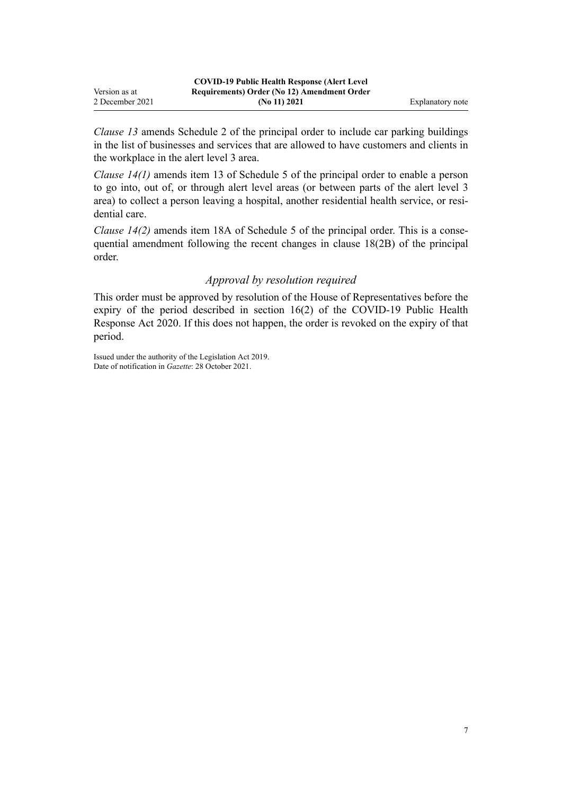|                 | <b>COVID-19 Public Health Response (Alert Level)</b> |                  |
|-----------------|------------------------------------------------------|------------------|
| Version as at   | Requirements) Order (No 12) Amendment Order          |                  |
| 2 December 2021 | (No 11) 2021                                         | Explanatory note |

*[Clause 13](#page-3-0)* amends [Schedule 2](http://legislation.govt.nz/pdflink.aspx?id=LMS549935) of the principal order to include car parking buildings in the list of businesses and services that are allowed to have customers and clients in the workplace in the alert level 3 area.

*[Clause 14\(1\)](#page-3-0)* amends item 13 of [Schedule 5](http://legislation.govt.nz/pdflink.aspx?id=LMS549944) of the principal order to enable a person to go into, out of, or through alert level areas (or between parts of the alert level 3 area) to collect a person leaving a hospital, another residential health service, or residential care.

*[Clause 14\(2\)](#page-3-0)* amends item 18A of [Schedule 5](http://legislation.govt.nz/pdflink.aspx?id=LMS549944) of the principal order. This is a consequential amendment following the recent changes in clause 18(2B) of the principal order.

### *Approval by resolution required*

This order must be approved by resolution of the House of Representatives before the expiry of the period described in [section 16\(2\)](http://legislation.govt.nz/pdflink.aspx?id=LMS344186) of the COVID-19 Public Health Response Act 2020. If this does not happen, the order is revoked on the expiry of that period.

Issued under the authority of the [Legislation Act 2019](http://legislation.govt.nz/pdflink.aspx?id=DLM7298104). Date of notification in *Gazette*: 28 October 2021.